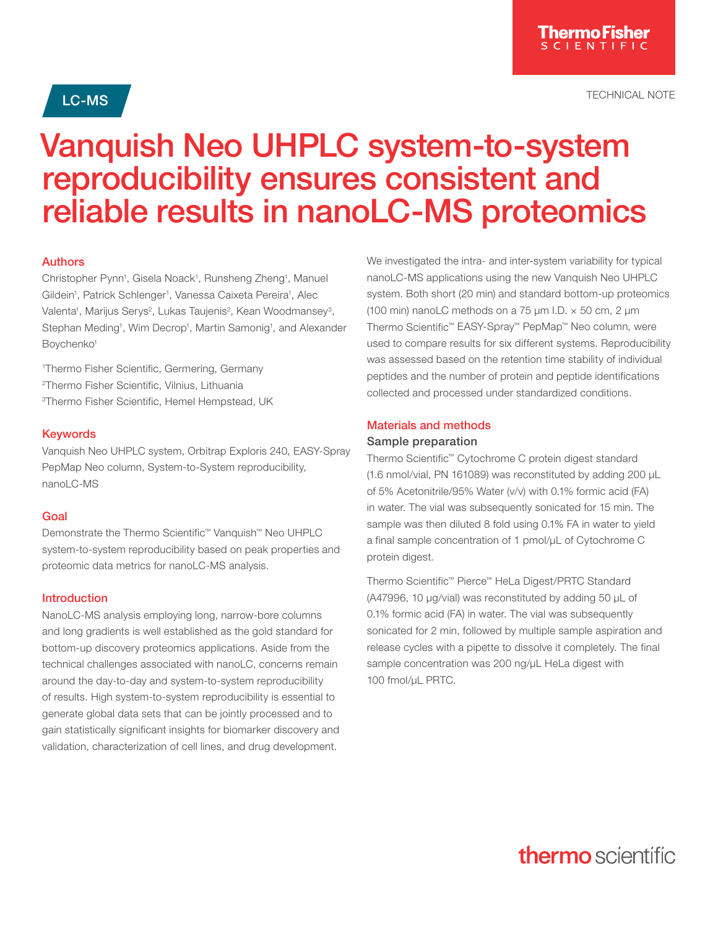**LC-MS**  $\overline{\phantom{a}}$ 

# Vanquish Neo UHPLC system-to-system reproducibility ensures consistent and reliable results in nanoLC-MS proteomics

#### Authors

Christopher Pynn<sup>1</sup>, Gisela Noack<sup>1</sup>, Runsheng Zheng<sup>1</sup>, Manuel Gildein<sup>1</sup>, Patrick Schlenger<sup>1</sup>, Vanessa Caixeta Pereira<sup>1</sup>, Alec Valenta<sup>1</sup>, Marijus Serys<sup>2</sup>, Lukas Taujenis<sup>2</sup>, Kean Woodmansey<sup>3</sup>, Stephan Meding<sup>1</sup>, Wim Decrop<sup>1</sup>, Martin Samonig<sup>1</sup>, and Alexander Boychenko<sup>1</sup>

1 Thermo Fisher Scientific, Germering, Germany 2Thermo Fisher Scientific, Vilnius, Lithuania 3 Thermo Fisher Scientific, Hemel Hempstead, UK

#### **Keywords**

Vanquish Neo UHPLC system, Orbitrap Exploris 240, EASY-Spray PepMap Neo column, System-to-System reproducibility, nanoLC-MS

#### Goal

Demonstrate the Thermo Scientific™ Vanquish™ Neo UHPLC system-to-system reproducibility based on peak properties and proteomic data metrics for nanoLC-MS analysis.

#### Introduction

NanoLC-MS analysis employing long, narrow-bore columns and long gradients is well established as the gold standard for bottom-up discovery proteomics applications. Aside from the technical challenges associated with nanoLC, concerns remain around the day-to-day and system-to-system reproducibility of results. High system-to-system reproducibility is essential to generate global data sets that can be jointly processed and to gain statistically significant insights for biomarker discovery and validation, characterization of cell lines, and drug development.

We investigated the intra- and inter-system variability for typical nanoLC-MS applications using the new Vanquish Neo UHPLC system. Both short (20 min) and standard bottom-up proteomics (100 min) nanoLC methods on a 75 µm I.D. × 50 cm, 2 µm Thermo Scientific™ EASY-Spray™ PepMap™ Neo column, were used to compare results for six different systems. Reproducibility was assessed based on the retention time stability of individual peptides and the number of protein and peptide identifications collected and processed under standardized conditions.

#### Materials and methods

#### Sample preparation

Thermo Scientific™ Cytochrome C protein digest standard (1.6 nmol/vial, PN 161089) was reconstituted by adding 200 µL of 5% Acetonitrile/95% Water (v/v) with 0.1% formic acid (FA) in water. The vial was subsequently sonicated for 15 min. The sample was then diluted 8 fold using 0.1% FA in water to yield a final sample concentration of 1 pmol/ $\mu$ L of Cytochrome C protein digest.

Thermo Scientific™ Pierce™ HeLa Digest/PRTC Standard (A47996, 10 µg/vial) was reconstituted by adding 50 µL of 0.1% formic acid (FA) in water. The vial was subsequently sonicated for 2 min, followed by multiple sample aspiration and release cycles with a pipette to dissolve it completely. The final sample concentration was 200 ng/µL HeLa digest with 100 fmol/µL PRTC.

## **thermo** scientific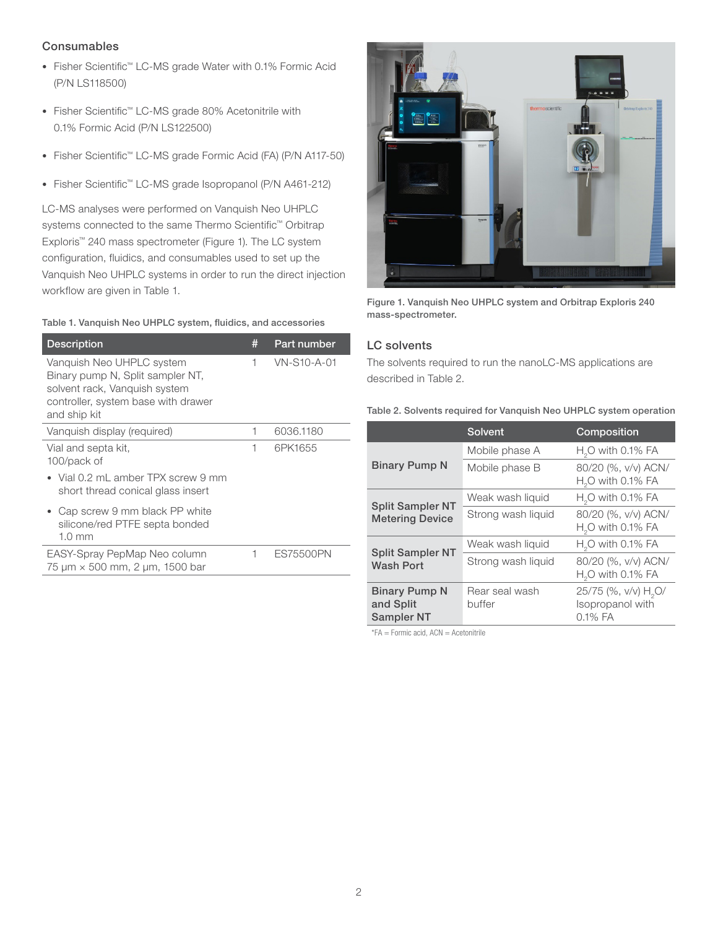#### **Consumables**

- Fisher Scientific™ LC-MS grade Water with 0.1% Formic Acid (P/N LS118500)
- Fisher Scientific™ LC-MS grade 80% Acetonitrile with 0.1% Formic Acid (P/N LS122500)
- Fisher Scientific™ LC-MS grade Formic Acid (FA) (P/N A117-50)
- Fisher Scientific™ LC-MS grade Isopropanol (P/N A461-212)

LC-MS analyses were performed on Vanquish Neo UHPLC systems connected to the same Thermo Scientific<sup>™</sup> Orbitrap Exploris™ 240 mass spectrometer (Figure 1). The LC system configuration, fluidics, and consumables used to set up the Vanquish Neo UHPLC systems in order to run the direct injection workflow are given in Table 1.

#### Table 1. Vanquish Neo UHPLC system, fluidics, and accessories

| <b>Description</b>                                                                                                                                    | # | Part number |
|-------------------------------------------------------------------------------------------------------------------------------------------------------|---|-------------|
| Vanquish Neo UHPLC system<br>Binary pump N, Split sampler NT,<br>solvent rack, Vanquish system<br>controller, system base with drawer<br>and ship kit | 1 | VN-S10-A-01 |
| Vanquish display (required)                                                                                                                           | 1 | 6036.1180   |
| Vial and septa kit,<br>100/pack of<br>Vial 0.2 mL amber TPX screw 9 mm<br>short thread conical glass insert                                           | 1 | 6PK1655     |
| Cap screw 9 mm black PP white<br>silicone/red PTFE septa bonded<br>$1.0 \text{ mm}$                                                                   |   |             |
| EASY-Spray PepMap Neo column<br>75 um × 500 mm, 2 um, 1500 bar                                                                                        | 1 | ES75500PN   |



Figure 1. Vanquish Neo UHPLC system and Orbitrap Exploris 240 mass-spectrometer.

#### LC solvents

The solvents required to run the nanoLC-MS applications are described in Table 2.

Table 2. Solvents required for Vanquish Neo UHPLC system operation

|                                                        | Solvent                  | Composition                                                     |
|--------------------------------------------------------|--------------------------|-----------------------------------------------------------------|
| <b>Binary Pump N</b>                                   | Mobile phase A           | $H2O$ with 0.1% FA                                              |
|                                                        | Mobile phase B           | 80/20 (%, v/v) ACN/<br>$H2O$ with 0.1% FA                       |
| <b>Split Sampler NT</b><br><b>Metering Device</b>      | Weak wash liquid         | $H2O$ with 0.1% FA                                              |
|                                                        | Strong wash liquid       | 80/20 (%, v/v) ACN/<br>$H2O$ with 0.1% FA                       |
| <b>Split Sampler NT</b><br><b>Wash Port</b>            | Weak wash liquid         | $HaO$ with 0.1% FA                                              |
|                                                        | Strong wash liquid       | 80/20 (%, v/v) ACN/<br>$H2O$ with 0.1% FA                       |
| <b>Binary Pump N</b><br>and Split<br><b>Sampler NT</b> | Rear seal wash<br>buffer | 25/75 (%, v/v) H <sub>2</sub> O/<br>Isopropanol with<br>0.1% FA |

 $*FA =$  Formic acid,  $ACN =$  Acetonitrile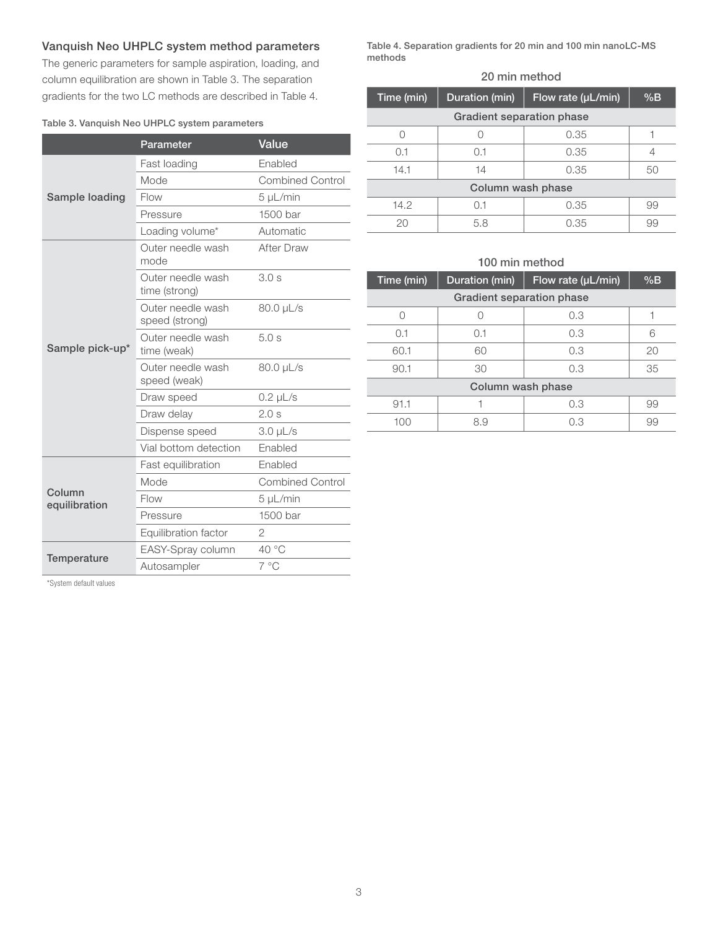#### Vanquish Neo UHPLC system method parameters

The generic parameters for sample aspiration, loading, and column equilibration are shown in Table 3. The separation gradients for the two LC methods are described in Table 4.

#### Table 3. Vanquish Neo UHPLC system parameters

|                         | Parameter                           | Value                   |
|-------------------------|-------------------------------------|-------------------------|
| Sample loading          | Fast loading                        | Enabled                 |
|                         | Mode                                | <b>Combined Control</b> |
|                         | Flow                                | 5 µL/min                |
|                         | Pressure                            | 1500 bar                |
|                         | Loading volume*                     | Automatic               |
|                         | Outer needle wash<br>mode           | After Draw              |
|                         | Outer needle wash<br>time (strong)  | 3.0s                    |
| Sample pick-up*         | Outer needle wash<br>speed (strong) | 80.0 µL/s               |
|                         | Outer needle wash<br>time (weak)    | 5.0s                    |
|                         | Outer needle wash<br>speed (weak)   | 80.0 µL/s               |
|                         | Draw speed                          | $0.2 \mu L/s$           |
|                         | Draw delay                          | 2.0 s                   |
|                         | Dispense speed                      | $3.0 \mu L/s$           |
|                         | Vial bottom detection               | Enabled                 |
| Column<br>equilibration | Fast equilibration                  | Enabled                 |
|                         | Mode                                | <b>Combined Control</b> |
|                         | Flow                                | 5 µL/min                |
|                         | Pressure                            | 1500 bar                |
|                         | Equilibration factor                | 2                       |
| Temperature             | EASY-Spray column                   | 40 °C                   |
|                         | Autosampler                         | $7^{\circ}$ C           |

Table 4. Separation gradients for 20 min and 100 min nanoLC-MS methods

#### 20 min method

| Time (min)                       | Duration (min) | Flow rate (µL/min) | %B |  |
|----------------------------------|----------------|--------------------|----|--|
| <b>Gradient separation phase</b> |                |                    |    |  |
|                                  |                | 0.35               |    |  |
| 0.1                              | 0.1            | 0.35               |    |  |
| 14.1                             | 14             | 0.35               | 50 |  |
| Column wash phase                |                |                    |    |  |
| 14.2                             | 0.1            | 0.35               | 99 |  |
| 20                               | 5.8            | 0.35               | 99 |  |

#### 100 min method

| Time (min)                | Duration (min) | Flow rate (µL/min) | %B |  |
|---------------------------|----------------|--------------------|----|--|
| Gradient separation phase |                |                    |    |  |
| Ω                         |                | 0.3                |    |  |
| 0.1                       | 0.1            | 0.3                | 6  |  |
| 60.1                      | 60             | 0.3                | 20 |  |
| 90.1                      | 30             | 0.3                | 35 |  |
| Column wash phase         |                |                    |    |  |
| 91.1                      |                | 0.3                | 99 |  |
| 100                       | 8.9            | 0.3                | 99 |  |
|                           |                |                    |    |  |

\*System default values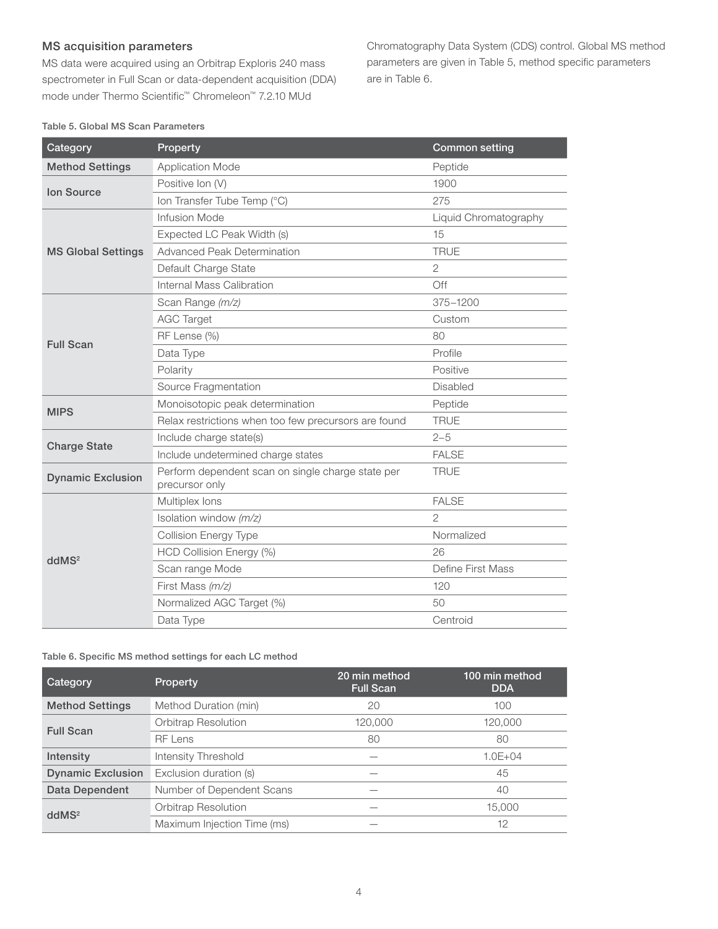#### MS acquisition parameters

MS data were acquired using an Orbitrap Exploris 240 mass spectrometer in Full Scan or data-dependent acquisition (DDA) mode under Thermo Scientific™ Chromeleon™ 7.2.10 MUd

Chromatography Data System (CDS) control. Global MS method parameters are given in Table 5, method specific parameters are in Table 6.

Table 5. Global MS Scan Parameters

| Category                  | Property                                                            | <b>Common setting</b> |
|---------------------------|---------------------------------------------------------------------|-----------------------|
| <b>Method Settings</b>    | <b>Application Mode</b>                                             | Peptide               |
|                           | Positive Ion (V)                                                    | 1900                  |
| <b>Ion Source</b>         | Ion Transfer Tube Temp (°C)                                         | 275                   |
|                           | Infusion Mode                                                       | Liquid Chromatography |
|                           | Expected LC Peak Width (s)                                          | 15                    |
| <b>MS Global Settings</b> | <b>Advanced Peak Determination</b>                                  | <b>TRUE</b>           |
|                           | Default Charge State                                                | $\overline{2}$        |
|                           | Internal Mass Calibration                                           | Off                   |
|                           | Scan Range (m/z)                                                    | 375-1200              |
|                           | <b>AGC Target</b>                                                   | Custom                |
| <b>Full Scan</b>          | RF Lense (%)                                                        | 80                    |
|                           | Data Type                                                           | Profile               |
|                           | Polarity                                                            | Positive              |
|                           | Source Fragmentation                                                | Disabled              |
| <b>MIPS</b>               | Monoisotopic peak determination                                     | Peptide               |
|                           | Relax restrictions when too few precursors are found                | <b>TRUE</b>           |
|                           | Include charge state(s)                                             | $2 - 5$               |
| <b>Charge State</b>       | Include undetermined charge states                                  | <b>FALSE</b>          |
| <b>Dynamic Exclusion</b>  | Perform dependent scan on single charge state per<br>precursor only | <b>TRUE</b>           |
|                           | Multiplex lons                                                      | <b>FALSE</b>          |
|                           | Isolation window (m/z)                                              | $\overline{2}$        |
|                           | <b>Collision Energy Type</b>                                        | Normalized            |
|                           | HCD Collision Energy (%)                                            | 26                    |
| ddMS <sup>2</sup>         | Scan range Mode                                                     | Define First Mass     |
|                           | First Mass (m/z)                                                    | 120                   |
|                           | Normalized AGC Target (%)                                           | 50                    |
|                           | Data Type                                                           | Centroid              |

Table 6. Specific MS method settings for each LC method

| Category                 | <b>Property</b>             | 20 min method<br><b>Full Scan</b> | 100 min method<br><b>DDA</b> |
|--------------------------|-----------------------------|-----------------------------------|------------------------------|
| <b>Method Settings</b>   | Method Duration (min)       | 20                                | 100                          |
| <b>Full Scan</b>         | <b>Orbitrap Resolution</b>  | 120.000                           | 120,000                      |
|                          | <b>RF Lens</b>              | 80                                | 80                           |
| Intensity                | Intensity Threshold         |                                   | $1.0E + 04$                  |
| <b>Dynamic Exclusion</b> | Exclusion duration (s)      |                                   | 45                           |
| Data Dependent           | Number of Dependent Scans   |                                   | 40                           |
| ddMS <sup>2</sup>        | <b>Orbitrap Resolution</b>  |                                   | 15,000                       |
|                          | Maximum Injection Time (ms) |                                   | 12                           |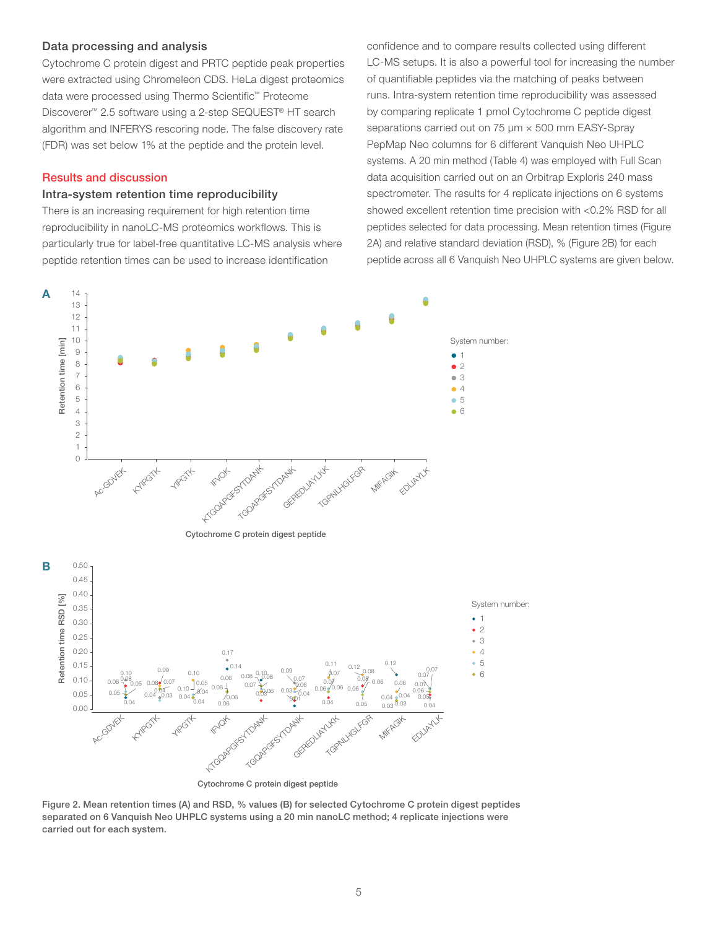#### Data processing and analysis

Cytochrome C protein digest and PRTC peptide peak properties were extracted using Chromeleon CDS. HeLa digest proteomics data were processed using Thermo Scientific™ Proteome Discoverer™ 2.5 software using a 2-step SEQUEST® HT search algorithm and INFERYS rescoring node. The false discovery rate (FDR) was set below 1% at the peptide and the protein level.

#### Results and discussion

#### Intra-system retention time reproducibility

There is an increasing requirement for high retention time reproducibility in nanoLC-MS proteomics workflows. This is particularly true for label-free quantitative LC-MS analysis where peptide retention times can be used to increase identification

confidence and to compare results collected using different LC-MS setups. It is also a powerful tool for increasing the number of quantifiable peptides via the matching of peaks between runs. Intra-system retention time reproducibility was assessed by comparing replicate 1 pmol Cytochrome C peptide digest separations carried out on 75  $\mu$ m × 500 mm EASY-Spray PepMap Neo columns for 6 different Vanquish Neo UHPLC systems. A 20 min method (Table 4) was employed with Full Scan data acquisition carried out on an Orbitrap Exploris 240 mass spectrometer. The results for 4 replicate injections on 6 systems showed excellent retention time precision with <0.2% RSD for all peptides selected for data processing. Mean retention times (Figure 2A) and relative standard deviation (RSD), % (Figure 2B) for each peptide across all 6 Vanquish Neo UHPLC systems are given below.



Figure 2. Mean retention times (A) and RSD, % values (B) for selected Cytochrome C protein digest peptides separated on 6 Vanquish Neo UHPLC systems using a 20 min nanoLC method; 4 replicate injections were carried out for each system.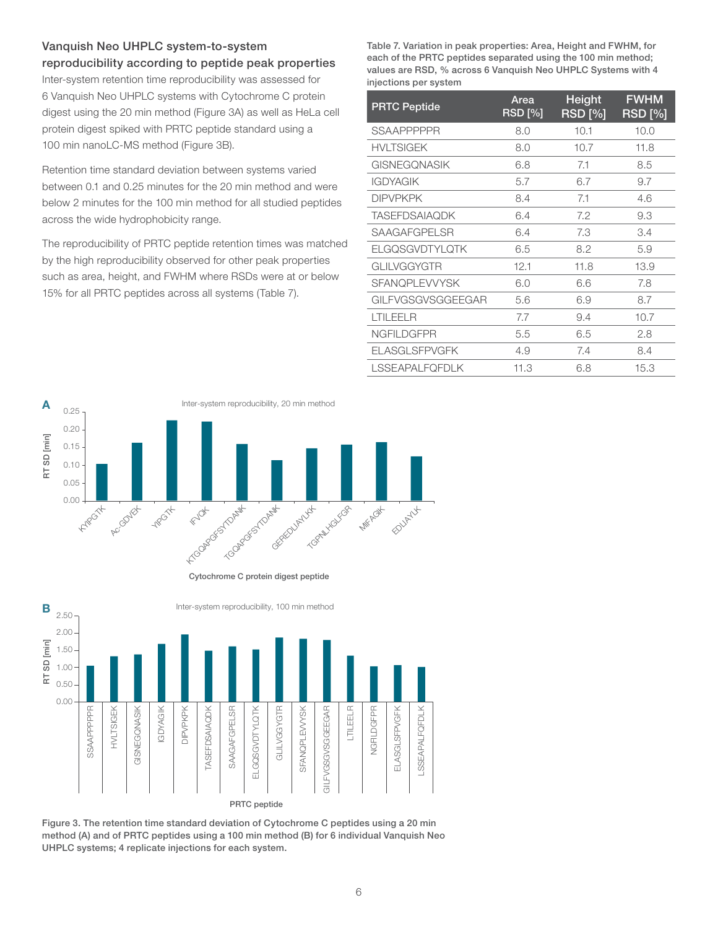#### Vanquish Neo UHPLC system-to-system reproducibility according to peptide peak properties

Inter-system retention time reproducibility was assessed for 6 Vanquish Neo UHPLC systems with Cytochrome C protein digest using the 20 min method (Figure 3A) as well as HeLa cell protein digest spiked with PRTC peptide standard using a 100 min nanoLC-MS method (Figure 3B).

Retention time standard deviation between systems varied between 0.1 and 0.25 minutes for the 20 min method and were below 2 minutes for the 100 min method for all studied peptides across the wide hydrophobicity range.

The reproducibility of PRTC peptide retention times was matched by the high reproducibility observed for other peak properties such as area, height, and FWHM where RSDs were at or below 15% for all PRTC peptides across all systems (Table 7).

Table 7. Variation in peak properties: Area, Height and FWHM, for each of the PRTC peptides separated using the 100 min method; values are RSD, % across 6 Vanquish Neo UHPLC Systems with 4 injections per system

| <b>PRTC Peptide</b>   | Area<br>RSD [%] | Height<br><b>RSD</b> [%] | <b>FWHM</b><br><b>RSD</b> [%] |
|-----------------------|-----------------|--------------------------|-------------------------------|
| <b>SSAAPPPPPR</b>     | 8.0             | 10.1                     | 10.0                          |
| <b>HVLTSIGEK</b>      | 8.0             | 10.7                     | 11.8                          |
| <b>GISNEGONASIK</b>   | 6.8             | 7.1                      | 8.5                           |
| <b>IGDYAGIK</b>       | 5.7             | 6.7                      | 9.7                           |
| <b>DIPVPKPK</b>       | 8.4             | 7.1                      | 4.6                           |
| <b>TASEFDSAIAQDK</b>  | 6.4             | 7.2                      | 9.3                           |
| SAAGAFGPELSR          | 6.4             | 7.3                      | 3.4                           |
| <b>ELGQSGVDTYLQTK</b> | 6.5             | 8.2                      | 5.9                           |
| GLILVGGYGTR           | 12.1            | 11.8                     | 13.9                          |
| <b>SFANOPLEVVYSK</b>  | 6.0             | 6.6                      | 7.8                           |
| GILFVGSGVSGGEEGAR     | 5.6             | 6.9                      | 8.7                           |
| LTILEELR              | 7.7             | 9.4                      | 10.7                          |
| <b>NGFILDGFPR</b>     | 5.5             | 6.5                      | 2.8                           |
| <b>ELASGLSFPVGFK</b>  | 4.9             | 7.4                      | 8.4                           |
| <b>LSSEAPALFQFDLK</b> | 11.3            | 6.8                      | 15.3                          |



Cytochrome C protein digest peptide